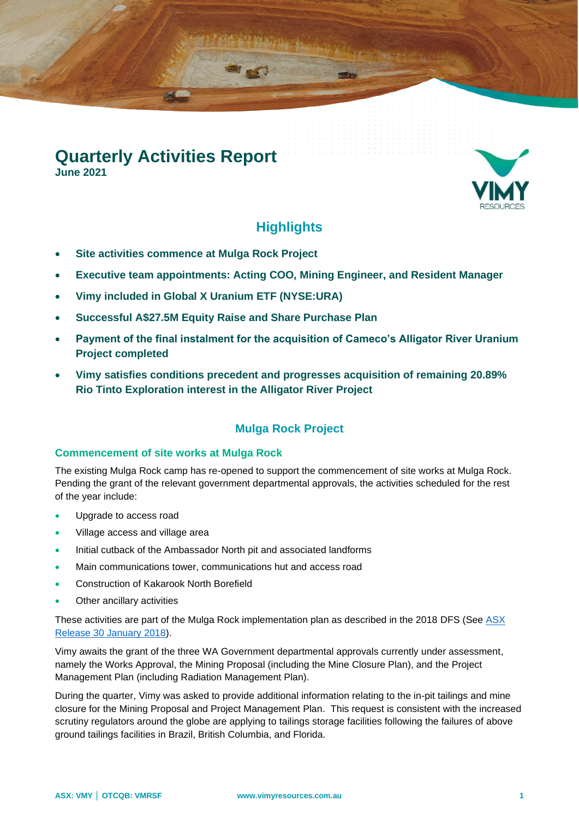# **Quarterly Activities Report**

**June 2021**



# **Highlights**

- **Site activities commence at Mulga Rock Project**
- **Executive team appointments: Acting COO, Mining Engineer, and Resident Manager**
- **Vimy included in Global X Uranium ETF (NYSE:URA)**
- **Successful A\$27.5M Equity Raise and Share Purchase Plan**
- **Payment of the final instalment for the acquisition of Cameco's Alligator River Uranium Project completed**
- **Vimy satisfies conditions precedent and progresses acquisition of remaining 20.89% Rio Tinto Exploration interest in the Alligator River Project**

## **Mulga Rock Project**

#### **Commencement of site works at Mulga Rock**

The existing Mulga Rock camp has re-opened to support the commencement of site works at Mulga Rock. Pending the grant of the relevant government departmental approvals, the activities scheduled for the rest of the year include:

- Upgrade to access road
- Village access and village area
- Initial cutback of the Ambassador North pit and associated landforms
- Main communications tower, communications hut and access road
- Construction of Kakarook North Borefield
- Other ancillary activities

These activities are part of the Mulga Rock implementation plan as described in the 2018 DFS (See ASX [Release 30 January 2018\)](http://clients3.weblink.com.au/pdf/VMY/01944743.pdf).

Vimy awaits the grant of the three WA Government departmental approvals currently under assessment, namely the Works Approval, the Mining Proposal (including the Mine Closure Plan), and the Project Management Plan (including Radiation Management Plan).

During the quarter, Vimy was asked to provide additional information relating to the in-pit tailings and mine closure for the Mining Proposal and Project Management Plan. This request is consistent with the increased scrutiny regulators around the globe are applying to tailings storage facilities following the failures of above ground tailings facilities in Brazil, British Columbia, and Florida.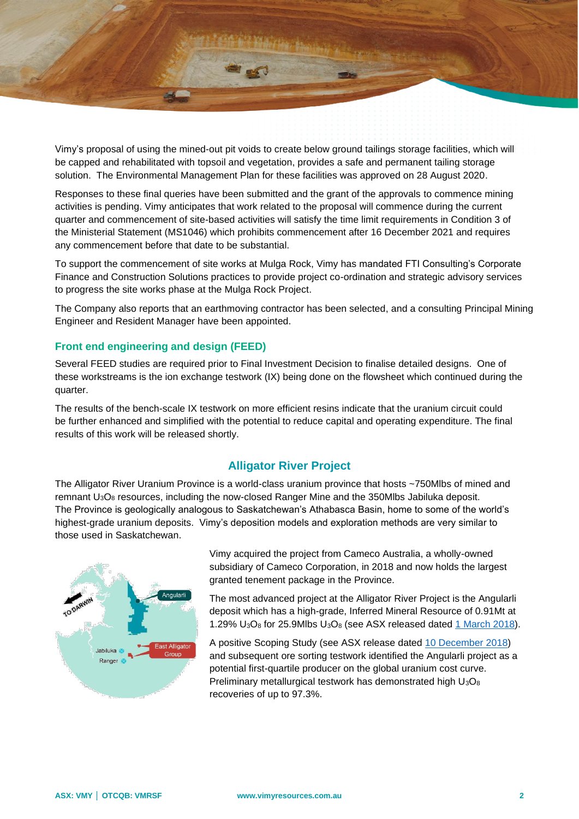

Vimy's proposal of using the mined-out pit voids to create below ground tailings storage facilities, which will be capped and rehabilitated with topsoil and vegetation, provides a safe and permanent tailing storage solution. The Environmental Management Plan for these facilities was approved on 28 August 2020.

Responses to these final queries have been submitted and the grant of the approvals to commence mining activities is pending. Vimy anticipates that work related to the proposal will commence during the current quarter and commencement of site-based activities will satisfy the time limit requirements in Condition 3 of the Ministerial Statement (MS1046) which prohibits commencement after 16 December 2021 and requires any commencement before that date to be substantial.

To support the commencement of site works at Mulga Rock, Vimy has mandated FTI Consulting's Corporate Finance and Construction Solutions practices to provide project co-ordination and strategic advisory services to progress the site works phase at the Mulga Rock Project.

The Company also reports that an earthmoving contractor has been selected, and a consulting Principal Mining Engineer and Resident Manager have been appointed.

#### **Front end engineering and design (FEED)**

Several FEED studies are required prior to Final Investment Decision to finalise detailed designs. One of these workstreams is the ion exchange testwork (IX) being done on the flowsheet which continued during the quarter.

The results of the bench-scale IX testwork on more efficient resins indicate that the uranium circuit could be further enhanced and simplified with the potential to reduce capital and operating expenditure. The final results of this work will be released shortly.

### **Alligator River Project**

The Alligator River Uranium Province is a world-class uranium province that hosts ~750Mlbs of mined and remnant U3O<sup>8</sup> resources, including the now-closed Ranger Mine and the 350Mlbs Jabiluka deposit. The Province is geologically analogous to Saskatchewan's Athabasca Basin, home to some of the world's highest-grade uranium deposits. Vimy's deposition models and exploration methods are very similar to those used in Saskatchewan.



Vimy acquired the project from Cameco Australia, a wholly-owned subsidiary of Cameco Corporation, in 2018 and now holds the largest granted tenement package in the Province.

The most advanced project at the Alligator River Project is the Angularli deposit which has a high-grade, Inferred Mineral Resource of 0.91Mt at 1.29% U3O<sup>8</sup> for 25.9Mlbs U3O<sup>8</sup> (see ASX released dated [1 March 2018\)](http://clients3.weblink.com.au/pdf/VMY/01957187.pdf).

A positive Scoping Study (see ASX release dated [10 December 2018\)](http://clients3.weblink.com.au/pdf/VMY/02058099.pdf) and subsequent ore sorting testwork identified the Angularli project as a potential first-quartile producer on the global uranium cost curve. Preliminary metallurgical testwork has demonstrated high U<sub>3</sub>O<sub>8</sub> recoveries of up to 97.3%.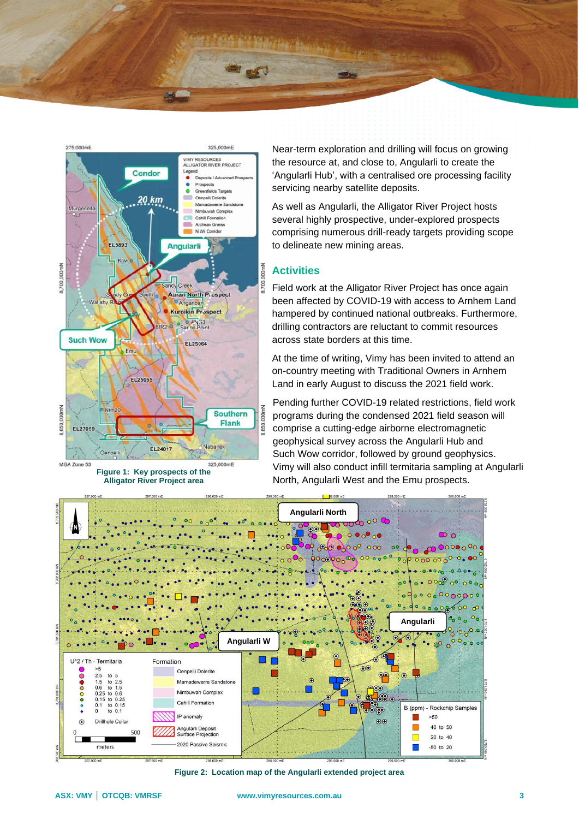



**Figure 1: Key prospects of the Alligator River Project area**

Near-term exploration and drilling will focus on growing the resource at, and close to, Angularli to create the 'Angularli Hub', with a centralised ore processing facility servicing nearby satellite deposits.

As well as Angularli, the Alligator River Project hosts several highly prospective, under-explored prospects comprising numerous drill-ready targets providing scope to delineate new mining areas.

#### **Activities**

Field work at the Alligator River Project has once again been affected by COVID-19 with access to Arnhem Land hampered by continued national outbreaks. Furthermore, drilling contractors are reluctant to commit resources across state borders at this time.

At the time of writing, Vimy has been invited to attend an on-country meeting with Traditional Owners in Arnhem Land in early August to discuss the 2021 field work.

Pending further COVID-19 related restrictions, field work programs during the condensed 2021 field season will comprise a cutting-edge airborne electromagnetic geophysical survey across the Angularli Hub and Such Wow corridor, followed by ground geophysics. Vimy will also conduct infill termitaria sampling at Angularli North, Angularli West and the Emu prospects.



**Figure 2: Location map of the Angularli extended project area**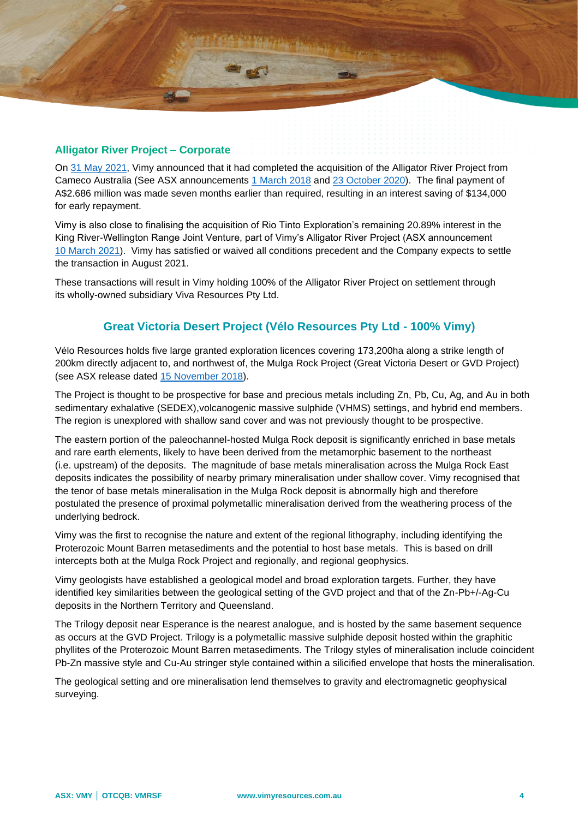

On [31 May](http://clients3.weblink.com.au/pdf/VMY/02379676.pdf) 2021, Vimy announced that it had completed the acquisition of the Alligator River Project from Cameco Australia (See ASX announcements [1 March 2018](http://clients3.weblink.com.au/pdf/VMY/01957187.pdf) and [23 October 2020\)](http://clients3.weblink.com.au/pdf/VMY/02297907.pdf). The final payment of A\$2.686 million was made seven months earlier than required, resulting in an interest saving of \$134,000 for early repayment.

Vimy is also close to finalising the acquisition of Rio Tinto Exploration's remaining 20.89% interest in the King River-Wellington Range Joint Venture, part of Vimy's Alligator River Project (ASX announcement 10 [March](http://clients3.weblink.com.au/pdf/VMY/02352004.pdf) 2021). Vimy has satisfied or waived all conditions precedent and the Company expects to settle the transaction in August 2021.

These transactions will result in Vimy holding 100% of the Alligator River Project on settlement through its wholly-owned subsidiary Viva Resources Pty Ltd.

## **Great Victoria Desert Project (Vélo Resources Pty Ltd - 100% Vimy)**

Vélo Resources holds five large granted exploration licences covering 173,200ha along a strike length of 200km directly adjacent to, and northwest of, the Mulga Rock Project (Great Victoria Desert or GVD Project) (see ASX release dated [15 November 2018\)](http://clients3.weblink.com.au/pdf/VMY/02048016.pdf).

The Project is thought to be prospective for base and precious metals including Zn, Pb, Cu, Ag, and Au in both sedimentary exhalative (SEDEX),volcanogenic massive sulphide (VHMS) settings, and hybrid end members. The region is unexplored with shallow sand cover and was not previously thought to be prospective.

The eastern portion of the paleochannel-hosted Mulga Rock deposit is significantly enriched in base metals and rare earth elements, likely to have been derived from the metamorphic basement to the northeast (i.e. upstream) of the deposits. The magnitude of base metals mineralisation across the Mulga Rock East deposits indicates the possibility of nearby primary mineralisation under shallow cover. Vimy recognised that the tenor of base metals mineralisation in the Mulga Rock deposit is abnormally high and therefore postulated the presence of proximal polymetallic mineralisation derived from the weathering process of the underlying bedrock.

Vimy was the first to recognise the nature and extent of the regional lithography, including identifying the Proterozoic Mount Barren metasediments and the potential to host base metals. This is based on drill intercepts both at the Mulga Rock Project and regionally, and regional geophysics.

Vimy geologists have established a geological model and broad exploration targets. Further, they have identified key similarities between the geological setting of the GVD project and that of the Zn-Pb+/-Ag-Cu deposits in the Northern Territory and Queensland.

The Trilogy deposit near Esperance is the nearest analogue, and is hosted by the same basement sequence as occurs at the GVD Project. Trilogy is a polymetallic massive sulphide deposit hosted within the graphitic phyllites of the Proterozoic Mount Barren metasediments. The Trilogy styles of mineralisation include coincident Pb-Zn massive style and Cu-Au stringer style contained within a silicified envelope that hosts the mineralisation.

The geological setting and ore mineralisation lend themselves to gravity and electromagnetic geophysical surveying.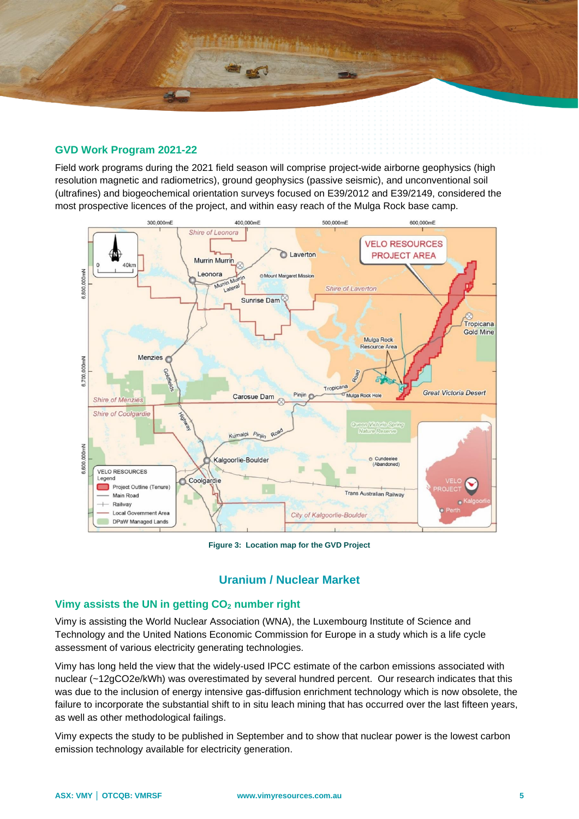

#### **GVD Work Program 2021-22**

Field work programs during the 2021 field season will comprise project-wide airborne geophysics (high resolution magnetic and radiometrics), ground geophysics (passive seismic), and unconventional soil (ultrafines) and biogeochemical orientation surveys focused on E39/2012 and E39/2149, considered the most prospective licences of the project, and within easy reach of the Mulga Rock base camp.



**Figure 3: Location map for the GVD Project**

#### **Uranium / Nuclear Market**

#### **Vimy assists the UN in getting CO<sup>2</sup> number right**

Vimy is assisting the World Nuclear Association (WNA), the Luxembourg Institute of Science and Technology and the United Nations Economic Commission for Europe in a study which is a life cycle assessment of various electricity generating technologies.

Vimy has long held the view that the widely-used IPCC estimate of the carbon emissions associated with nuclear (~12gCO2e/kWh) was overestimated by several hundred percent. Our research indicates that this was due to the inclusion of energy intensive gas-diffusion enrichment technology which is now obsolete, the failure to incorporate the substantial shift to in situ leach mining that has occurred over the last fifteen years, as well as other methodological failings.

Vimy expects the study to be published in September and to show that nuclear power is the lowest carbon emission technology available for electricity generation.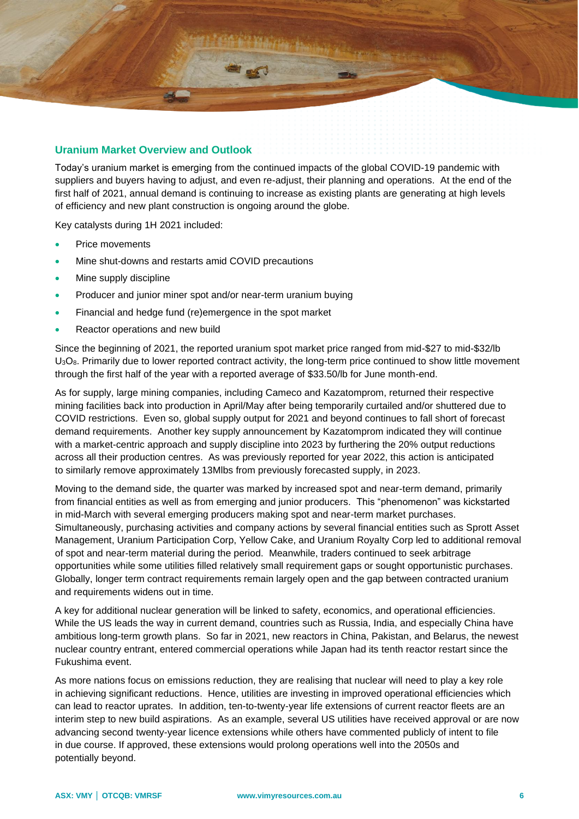

#### **Uranium Market Overview and Outlook**

Today's uranium market is emerging from the continued impacts of the global COVID-19 pandemic with suppliers and buyers having to adjust, and even re-adjust, their planning and operations. At the end of the first half of 2021, annual demand is continuing to increase as existing plants are generating at high levels of efficiency and new plant construction is ongoing around the globe.

Key catalysts during 1H 2021 included:

- Price movements
- Mine shut-downs and restarts amid COVID precautions
- Mine supply discipline
- Producer and junior miner spot and/or near-term uranium buying
- Financial and hedge fund (re)emergence in the spot market
- Reactor operations and new build

Since the beginning of 2021, the reported uranium spot market price ranged from mid-\$27 to mid-\$32/lb U3O8. Primarily due to lower reported contract activity, the long-term price continued to show little movement through the first half of the year with a reported average of \$33.50/lb for June month-end.

As for supply, large mining companies, including Cameco and Kazatomprom, returned their respective mining facilities back into production in April/May after being temporarily curtailed and/or shuttered due to COVID restrictions. Even so, global supply output for 2021 and beyond continues to fall short of forecast demand requirements. Another key supply announcement by Kazatomprom indicated they will continue with a market-centric approach and supply discipline into 2023 by furthering the 20% output reductions across all their production centres. As was previously reported for year 2022, this action is anticipated to similarly remove approximately 13Mlbs from previously forecasted supply, in 2023.

Moving to the demand side, the quarter was marked by increased spot and near-term demand, primarily from financial entities as well as from emerging and junior producers. This "phenomenon" was kickstarted in mid-March with several emerging producers making spot and near-term market purchases. Simultaneously, purchasing activities and company actions by several financial entities such as Sprott Asset Management, Uranium Participation Corp, Yellow Cake, and Uranium Royalty Corp led to additional removal of spot and near-term material during the period. Meanwhile, traders continued to seek arbitrage opportunities while some utilities filled relatively small requirement gaps or sought opportunistic purchases. Globally, longer term contract requirements remain largely open and the gap between contracted uranium and requirements widens out in time.

A key for additional nuclear generation will be linked to safety, economics, and operational efficiencies. While the US leads the way in current demand, countries such as Russia, India, and especially China have ambitious long-term growth plans. So far in 2021, new reactors in China, Pakistan, and Belarus, the newest nuclear country entrant, entered commercial operations while Japan had its tenth reactor restart since the Fukushima event.

As more nations focus on emissions reduction, they are realising that nuclear will need to play a key role in achieving significant reductions. Hence, utilities are investing in improved operational efficiencies which can lead to reactor uprates. In addition, ten-to-twenty-year life extensions of current reactor fleets are an interim step to new build aspirations. As an example, several US utilities have received approval or are now advancing second twenty-year licence extensions while others have commented publicly of intent to file in due course. If approved, these extensions would prolong operations well into the 2050s and potentially beyond.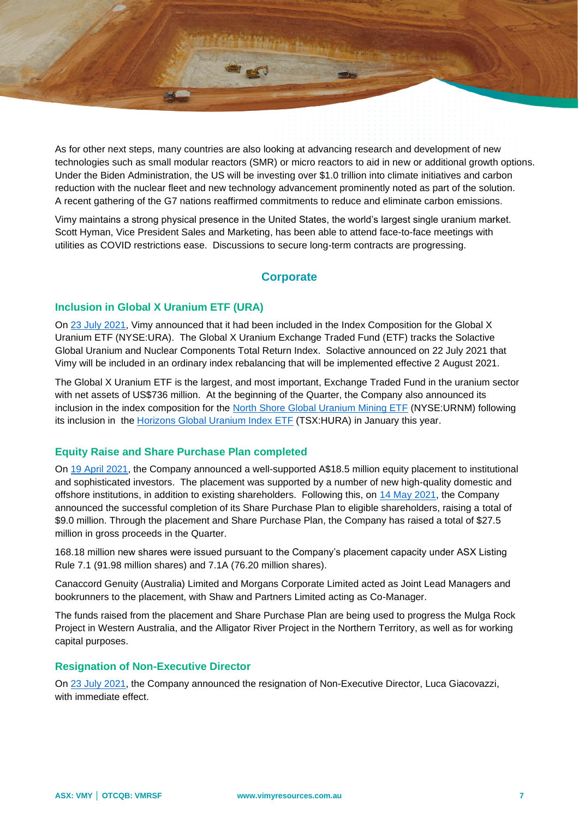

As for other next steps, many countries are also looking at advancing research and development of new technologies such as small modular reactors (SMR) or micro reactors to aid in new or additional growth options. Under the Biden Administration, the US will be investing over \$1.0 trillion into climate initiatives and carbon reduction with the nuclear fleet and new technology advancement prominently noted as part of the solution. A recent gathering of the G7 nations reaffirmed commitments to reduce and eliminate carbon emissions.

Vimy maintains a strong physical presence in the United States, the world's largest single uranium market. Scott Hyman, Vice President Sales and Marketing, has been able to attend face-to-face meetings with utilities as COVID restrictions ease. Discussions to secure long-term contracts are progressing.

## **Corporate**

#### **Inclusion in Global X Uranium ETF (URA)**

On [23 July 2021,](http://clients3.weblink.com.au/pdf/VMY/02398526.pdf) Vimy announced that it had been included in the Index Composition for the Global X Uranium ETF (NYSE:URA). The Global X Uranium Exchange Traded Fund (ETF) tracks the Solactive Global Uranium and Nuclear Components Total Return Index. Solactive announced on 22 July 2021 that Vimy will be included in an ordinary index rebalancing that will be implemented effective 2 August 2021.

The Global X Uranium ETF is the largest, and most important, Exchange Traded Fund in the uranium sector with net assets of US\$736 million. At the beginning of the Quarter, the Company also announced its inclusion in the index composition for the [North Shore Global Uranium Mining ETF](http://clients3.weblink.com.au/pdf/VMY/02359921.pdf) (NYSE:URNM) following its inclusion in the [Horizons Global Uranium Index ETF](http://clients3.weblink.com.au/pdf/VMY/02336073.pdf) (TSX:HURA) in January this year.

#### **Equity Raise and Share Purchase Plan completed**

On [19 April 2021,](http://clients3.weblink.com.au/pdf/VMY/02364679.pdf) the Company announced a well-supported A\$18.5 million equity placement to institutional and sophisticated investors. The placement was supported by a number of new high-quality domestic and offshore institutions, in addition to existing shareholders. Following this, on [14 May 2021,](http://clients3.weblink.com.au/pdf/VMY/02374959.pdf) the Company announced the successful completion of its Share Purchase Plan to eligible shareholders, raising a total of \$9.0 million. Through the placement and Share Purchase Plan, the Company has raised a total of \$27.5 million in gross proceeds in the Quarter.

168.18 million new shares were issued pursuant to the Company's placement capacity under ASX Listing Rule 7.1 (91.98 million shares) and 7.1A (76.20 million shares).

Canaccord Genuity (Australia) Limited and Morgans Corporate Limited acted as Joint Lead Managers and bookrunners to the placement, with Shaw and Partners Limited acting as Co-Manager.

The funds raised from the placement and Share Purchase Plan are being used to progress the Mulga Rock Project in Western Australia, and the Alligator River Project in the Northern Territory, as well as for working capital purposes.

#### **Resignation of Non-Executive Director**

On [23 July 2021,](http://clients3.weblink.com.au/pdf/VMY/02398655.pdf) the Company announced the resignation of Non-Executive Director, Luca Giacovazzi, with immediate effect.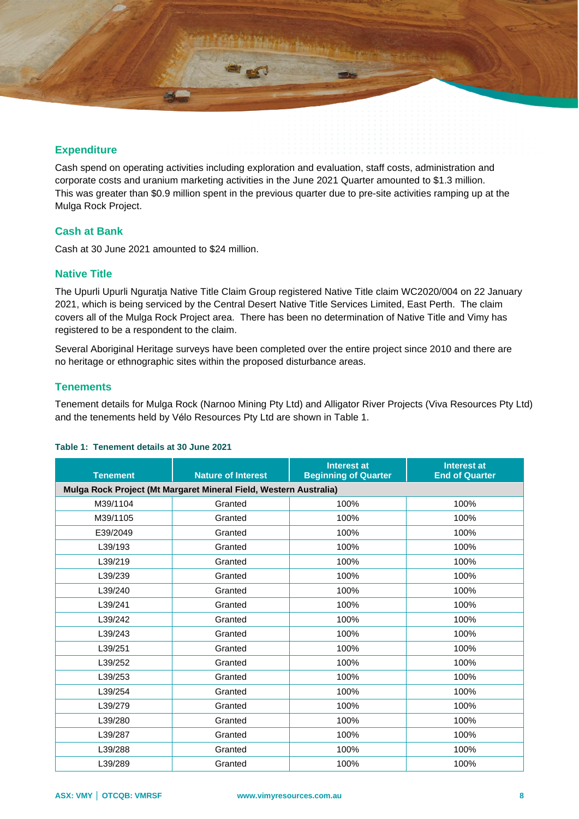

Cash spend on operating activities including exploration and evaluation, staff costs, administration and corporate costs and uranium marketing activities in the June 2021 Quarter amounted to \$1.3 million. This was greater than \$0.9 million spent in the previous quarter due to pre-site activities ramping up at the Mulga Rock Project.

#### **Cash at Bank**

Cash at 30 June 2021 amounted to \$24 million.

#### **Native Title**

The Upurli Upurli Nguratja Native Title Claim Group registered Native Title claim WC2020/004 on 22 January 2021, which is being serviced by the Central Desert Native Title Services Limited, East Perth. The claim covers all of the Mulga Rock Project area. There has been no determination of Native Title and Vimy has registered to be a respondent to the claim.

Several Aboriginal Heritage surveys have been completed over the entire project since 2010 and there are no heritage or ethnographic sites within the proposed disturbance areas.

#### **Tenements**

Tenement details for Mulga Rock (Narnoo Mining Pty Ltd) and Alligator River Projects (Viva Resources Pty Ltd) and the tenements held by Vélo Resources Pty Ltd are shown in Table 1.

| <b>Tenement</b>                                                   | <b>Nature of Interest</b> | <b>Interest at</b><br><b>Beginning of Quarter</b> | <b>Interest at</b><br><b>End of Quarter</b> |  |
|-------------------------------------------------------------------|---------------------------|---------------------------------------------------|---------------------------------------------|--|
| Mulga Rock Project (Mt Margaret Mineral Field, Western Australia) |                           |                                                   |                                             |  |
| M39/1104                                                          | Granted                   | 100%                                              | 100%                                        |  |
| M39/1105                                                          | Granted                   | 100%                                              | 100%                                        |  |
| E39/2049                                                          | Granted                   | 100%                                              | 100%                                        |  |
| L39/193                                                           | Granted                   | 100%                                              | 100%                                        |  |
| L39/219                                                           | Granted                   | 100%                                              | 100%                                        |  |
| L39/239                                                           | Granted                   | 100%                                              | 100%                                        |  |
| L39/240                                                           | Granted                   | 100%                                              | 100%                                        |  |
| L39/241                                                           | Granted                   | 100%                                              | 100%                                        |  |
| L39/242                                                           | Granted                   | 100%                                              | 100%                                        |  |
| L39/243                                                           | Granted                   | 100%                                              | 100%                                        |  |
| L39/251                                                           | Granted                   | 100%                                              | 100%                                        |  |
| L39/252                                                           | Granted                   | 100%                                              | 100%                                        |  |
| L39/253                                                           | Granted                   | 100%                                              | 100%                                        |  |
| L39/254                                                           | Granted                   | 100%                                              | 100%                                        |  |
| L39/279                                                           | Granted                   | 100%                                              | 100%                                        |  |
| L39/280                                                           | Granted                   | 100%                                              | 100%                                        |  |
| L39/287                                                           | Granted                   | 100%                                              | 100%                                        |  |
| L39/288                                                           | Granted                   | 100%                                              | 100%                                        |  |
| L39/289                                                           | Granted                   | 100%                                              | 100%                                        |  |

#### **Table 1: Tenement details at 30 June 2021**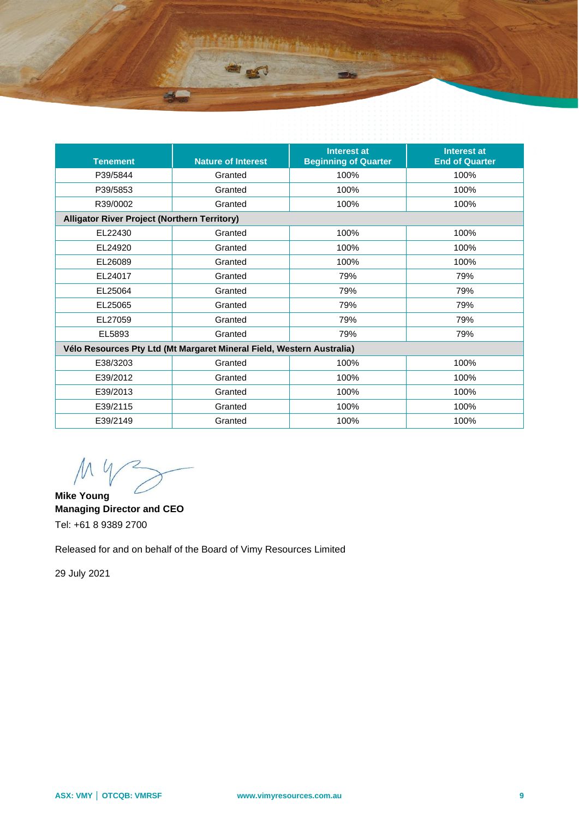

| <b>Tenement</b>                                                       | <b>Nature of Interest</b> | <b>Interest at</b><br><b>Beginning of Quarter</b> | <b>Interest at</b><br><b>End of Quarter</b> |  |
|-----------------------------------------------------------------------|---------------------------|---------------------------------------------------|---------------------------------------------|--|
| P39/5844                                                              | Granted                   | 100%                                              | 100%                                        |  |
| P39/5853                                                              | Granted                   | 100%                                              | 100%                                        |  |
| R39/0002                                                              | Granted                   | 100%                                              | 100%                                        |  |
| <b>Alligator River Project (Northern Territory)</b>                   |                           |                                                   |                                             |  |
| EL22430                                                               | Granted                   | 100%                                              | 100%                                        |  |
| EL24920                                                               | Granted                   | 100%                                              | 100%                                        |  |
| EL26089                                                               | Granted                   | 100%                                              | 100%                                        |  |
| EL24017                                                               | Granted                   | 79%                                               | 79%                                         |  |
| EL25064                                                               | Granted                   | 79%                                               | 79%                                         |  |
| EL25065                                                               | Granted                   | 79%                                               | 79%                                         |  |
| EL27059                                                               | Granted                   | 79%                                               | 79%                                         |  |
| EL5893                                                                | Granted                   | 79%                                               | 79%                                         |  |
| Vélo Resources Pty Ltd (Mt Margaret Mineral Field, Western Australia) |                           |                                                   |                                             |  |
| E38/3203                                                              | Granted                   | 100%                                              | 100%                                        |  |
| E39/2012                                                              | Granted                   | 100%                                              | 100%                                        |  |
| E39/2013                                                              | Granted                   | 100%                                              | 100%                                        |  |
| E39/2115                                                              | Granted                   | 100%                                              | 100%                                        |  |
| E39/2149                                                              | Granted                   | 100%                                              | 100%                                        |  |

 $M$  $\mathcal{U}$ 

**Mike Young Managing Director and CEO**  Tel: +61 8 9389 2700

Released for and on behalf of the Board of Vimy Resources Limited

29 July 2021